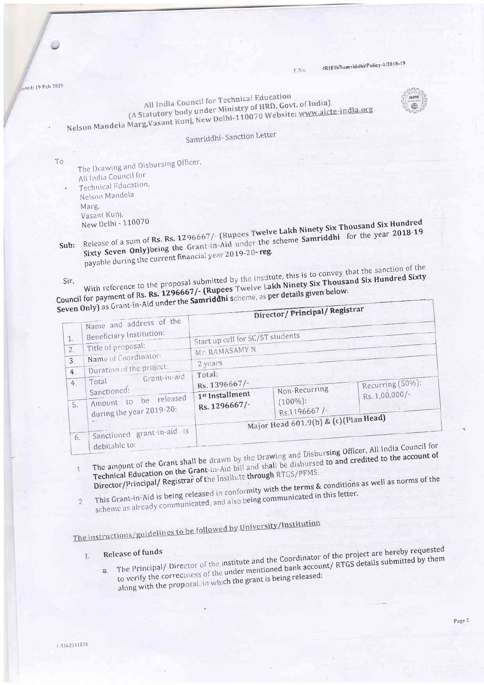/RIFD/Samriddhi/Policy-1/2018-19

1/ Poristrar

nated: 19 Feb 2020

All India Council for Technical Education (A Statutory body under Ministry of HRD, Govt. of India) Nelson Mandela Marg, Vasant Kunj, New Delhi-110070 Website: www.aicte-india.org



Samriddhi-Sanction Letter

To

The Drawing and Disbursing Officer, All India Council for Technical Education, Nelson Mandela Marg, Vasant Kuni,

Sub: Release of a sum of Rs. Rs. 1296667/- (Rupees Twelve Lakh Ninety Six Thousand Six Hundred Sixty Seven Only) being the Grant-in-Aid under the scheme Samriddhi for the year 2018-19 payable during the current financial year 2019-20-reg.

With reference to the proposal submitted by the institute, this is to convey that the sanction of the Council for payment of Rs. Rs. 1296667/- (Rupees Twelve Lakh Ninety Six Thousand Six Hundred Sixty Seven Only) as Grant-in-Aid under the Samriddhi scheme, as per details given below.

|                      | Name and address of the                                                                   |                                                             | Director/Principal/                          |                                           |  |  |
|----------------------|-------------------------------------------------------------------------------------------|-------------------------------------------------------------|----------------------------------------------|-------------------------------------------|--|--|
| $\mathbf{1}$ .<br>2. | Beneficiary Institution:<br>Title of proposal:                                            | Start up cell for SC/ST students<br>Mr. RAMASAMY N          |                                              |                                           |  |  |
| $3 -$                | Name of Coordinator:<br>Duration of the project:                                          | 2 years                                                     |                                              |                                           |  |  |
| 4.<br>4.<br>5.       | Grant-in-aid<br>Total<br>Sanctioned:<br>Amount to be released<br>during the year 2019-20: | Total:<br>Rs. 1396667/-<br>1st Installment<br>Rs. 1296667/- | Non-Recurring<br>$(100\%)$ :<br>Rs.1196667/- | Recurring (50%):<br>Rs. 1,00,000/-        |  |  |
| 6.                   | Sanctioned grant-in-aid is<br>debitable to:                                               |                                                             | Major Head 601.9(b) & (c) (Plan Head)        | Diskussing Officer. All India Council for |  |  |

The amount of the Grant shall be drawn by the Drawing and Disbursing Officer, All India Cou Technical Education on the Grant-in-Aid bill and shall be disbursed to and credited to the account of 11 Director/Principal/ Registrar of the Institute through RTGS/PFMS.

This Grant-in-Aid is being released in conformity with the terms & conditions as well as norms of the scheme as already communicated, and also being communicated in this letter.

 $\overline{2}$ 

The instructions/guidelines to be followed by University/Institution

## $\mathbf{I}$ .

a. The Principal/Director of the institute and the Coordinator of the project are hereby requested to verify the correctness of the under mentioned bank account/ RTGS details submitted by them along with the proposal, in which the grant is being released: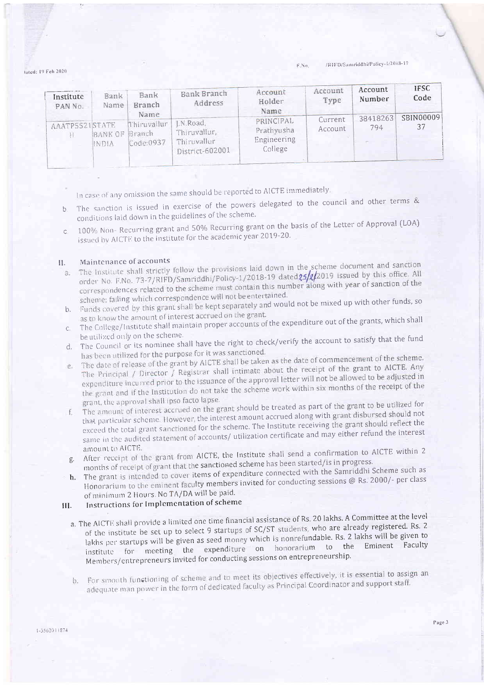/RIFD/Samriddhi/Policy-1/2018-19 E.No.

Jated: 19 Feb 2020

| Institute<br>PAN No. | Bank<br>Name | Bank<br>Branch<br>Name                     | Bank Branch<br>Address                                     | Account<br>Holder<br>Name                         | Account<br>Type    | Account<br>Number | <b>IFSC</b><br>Code |
|----------------------|--------------|--------------------------------------------|------------------------------------------------------------|---------------------------------------------------|--------------------|-------------------|---------------------|
| AAATP5521STATE       | INDIA        | Thiruvallur<br>BANK OF Branch<br>Code:0937 | LN.Road,<br>Thiruvallur,<br>Thiruvallur<br>District-602001 | PRINCIPAL<br>Prathyusha<br>Engineering<br>College | Current<br>Account | 38418263<br>794   | SBIN00009<br>37     |

In case of any omission the same should be reported to AICTE immediately.

- The sanction is issued in exercise of the powers delegated to the council and other terms &  $b$ conditions laid down in the guidelines of the scheme.
- 100% Non- Recurring grant and 50% Recurring grant on the basis of the Letter of Approval (LOA)  $\mathbb{C}$ issued by AICTE to the institute for the academic year 2019-20.

## Maintenance of accounts H.

- The Institute shall strictly follow the provisions laid down in the scheme document and sanction order No. F.No. 73-7/RIFD/Samriddhi/Policy-1/2018-19 dated25/2/2019 issued by this office. All  $\overline{a}$ correspondences related to the scheme must contain this number along with year of sanction of the scheme: failing which correspondence will not be entertained.
- b. Funds covered by this grant shall be kept separately and would not be mixed up with other funds, so as to know the amount of interest accrued on the grant.
- The College/Institute shall maintain proper accounts of the expenditure out of the grants, which shall  $C_{1}$ be utilized only on the scheme.
- The Council or its nominee shall have the right to check/verify the account to satisfy that the fund  $d_{\cdot}$ has been utilized for the purpose for it was sanctioned.
- The date of release of the grant by AICTE shall be taken as the date of commencement of the scheme. The Principal / Director / Registrar shall intimate about the receipt of the grant to AICTE. Any e. expenditure incurred prior to the issuance of the approval letter will not be allowed to be adjusted in the grant and if the Institution do not take the scheme work within six months of the receipt of the grant, the approval shall ipso facto lapse.
- The amount of interest accrued on the grant should be treated as part of the grant to be utilized for that particular scheme. However, the interest amount accrued along with grant disbursed should not  $E$ exceed the total grant sanctioned for the scheme. The Institute receiving the grant should reflect the same in the audited statement of accounts/ utilization certificate and may either refund the interest amount to AICTE.
- g. After receipt of the grant from AICTE, the Institute shall send a confirmation to AICTE within 2 months of receipt of grant that the sanctioned scheme has been started/is in progress.
- h. The grant is intended to cover items of expenditure connected with the Samriddhi Scheme such as Honorarium to the eminent faculty members invited for conducting sessions @ Rs. 2000/- per class of minimum 2 Hours. No TA/DA will be paid.

## Instructions for Implementation of scheme III.

- a. The AICTE shall provide a limited one time financial assistance of Rs. 20 lakhs. A Committee at the level of the institute be set up to select 9 startups of SC/ST students, who are already registered. Rs. 2 lakhs per startups will be given as seed money which is nonrefundable. Rs. 2 lakhs will be given to institute for meeting the expenditure on honorarium to the Eminent Faculty Members/entrepreneurs invited for conducting sessions on entrepreneurship.
- b. For smooth functioning of scheme and to meet its objectives effectively, it is essential to assign an adequate man power in the form of dedicated faculty as Principal Coordinator and support staff.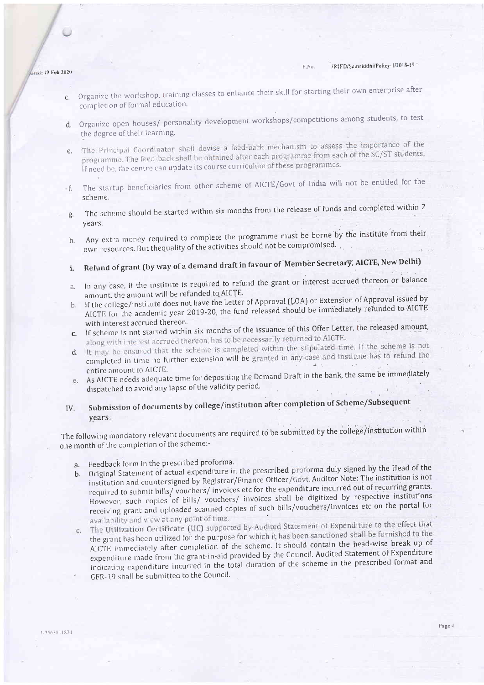- ated: 19 Feb 2020
	- Organize the workshop, training classes to enhance their skill for starting their own enterprise after  $\mathcal{C}$ . completion of formal education.
	- d. Organize open houses/ personality development workshops/competitions among students, to test the degree of their learning.
	- The Principal Coordinator shall devise a feed-back mechanism to assess the importance of the  $\rho$ . programme. The feed-back shall be obtained after each programme from each of the SC/ST students. If need be, the centre can update its course curriculum of these programmes.
	- The startup beneficiaries from other scheme of AICTE/Govt of India will not be entitled for the - f. scheme.
	- The scheme should be started within six months from the release of funds and completed within 2 ₫. years.
	- Any extra money required to complete the programme must be borne by the institute from their h. own resources. But the quality of the activities should not be compromised.
	- Refund of grant (by way of a demand draft in favour of Member Secretary, AICTE, New Delhi) i.
	- In any case, if the institute is required to refund the grant or interest accrued thereon or balance  $\mathcal{A}$ . amount, the amount will be refunded to AICTE.
	- b. If the college/institute does not have the Letter of Approval (LOA) or Extension of Approval issued by AICTE for the academic year 2019-20, the fund released should be immediately refunded to AICTE. with interest accrued thereon.
	- c. If scheme is not started within six months of the issuance of this Offer Letter, the released amount, along with interest accrued thereon, has to be necessarily returned to AICTE.
	- d. It may be ensured that the scheme is completed within the stipulated time. If the scheme is not completed in time no further extension will be granted in any case and institute has to refund the  $\perp$  . entire amount to AICTE.
	- As AICTE néeds adequate time for depositing the Demand Draft in the bank, the same be immediately 仓. dispatched to avoid any lapse of the validity period.
	- Submission of documents by college/institution after completion of Scheme/Subsequent  $IV.$ years:

The following mandatory relevant documents are required to be submitted by the college/institution within one month of the completion of the scheme:-

- a. Feedback form in the prescribed proforma.
- b. Original Statement of actual expenditure in the prescribed proforma duly signed by the Head of the institution and countersigned by Registrar/Finance Officer/Govt. Auditor Note: The institution is not required to submit bills/vouchers/invoices etc for the expenditure incurred out of recurring grants. However, such copies of bills/ vouchers/ invoices shall be digitized by respective institutions receiving grant and uploaded scanned copies of such bills/vouchers/invoices etc on the portal for availability and view at any point of time.
- The Utilization Certificate (UC) supported by Audited Statement of Expenditure to the effect that the grant has been utilized for the purpose for which it has been sanctioned shall be furnished to the  $C$ . AICTE immediately after completion of the scheme. It should contain the head-wise break up of expenditure made from the grant-in-aid provided by the Council. Audited Statement of Expenditure indicating expenditure incurred in the total duration of the scheme in the prescribed format and GFR-19 shall be submitted to the Council.